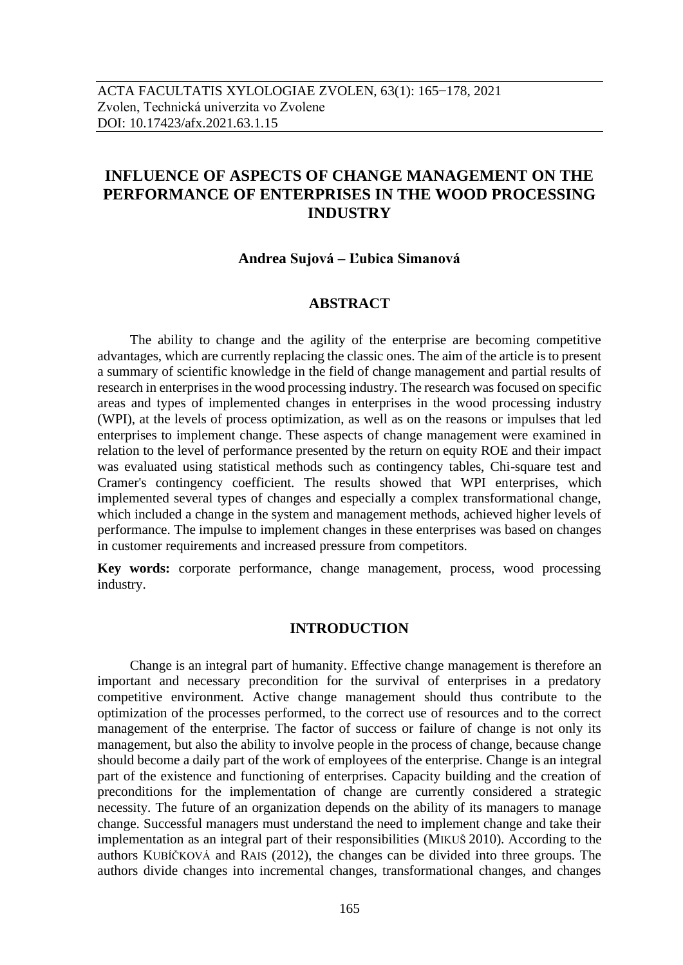# **INFLUENCE OF ASPECTS OF CHANGE MANAGEMENT ON THE PERFORMANCE OF ENTERPRISES IN THE WOOD PROCESSING INDUSTRY**

#### **Andrea Sujová – Ľubica Simanová**

## **ABSTRACT**

The ability to change and the agility of the enterprise are becoming competitive advantages, which are currently replacing the classic ones. The aim of the article is to present a summary of scientific knowledge in the field of change management and partial results of research in enterprises in the wood processing industry. The research was focused on specific areas and types of implemented changes in enterprises in the wood processing industry (WPI), at the levels of process optimization, as well as on the reasons or impulses that led enterprises to implement change. These aspects of change management were examined in relation to the level of performance presented by the return on equity ROE and their impact was evaluated using statistical methods such as contingency tables, Chi-square test and Cramer's contingency coefficient. The results showed that WPI enterprises, which implemented several types of changes and especially a complex transformational change, which included a change in the system and management methods, achieved higher levels of performance. The impulse to implement changes in these enterprises was based on changes in customer requirements and increased pressure from competitors.

**Key words:** corporate performance, change management, process, wood processing industry.

#### **INTRODUCTION**

Change is an integral part of humanity. Effective change management is therefore an important and necessary precondition for the survival of enterprises in a predatory competitive environment. Active change management should thus contribute to the optimization of the processes performed, to the correct use of resources and to the correct management of the enterprise. The factor of success or failure of change is not only its management, but also the ability to involve people in the process of change, because change should become a daily part of the work of employees of the enterprise. Change is an integral part of the existence and functioning of enterprises. Capacity building and the creation of preconditions for the implementation of change are currently considered a strategic necessity. The future of an organization depends on the ability of its managers to manage change. Successful managers must understand the need to implement change and take their implementation as an integral part of their responsibilities (MIKUŠ 2010). According to the authors KUBÍČKOVÁ and RAIS (2012), the changes can be divided into three groups. The authors divide changes into incremental changes, transformational changes, and changes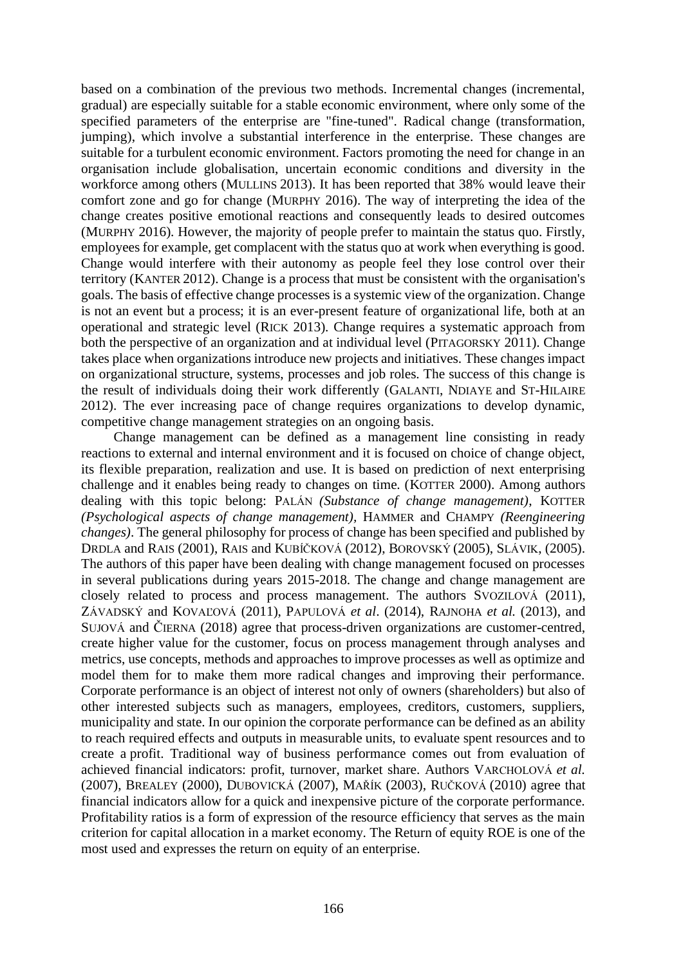based on a combination of the previous two methods. Incremental changes (incremental, gradual) are especially suitable for a stable economic environment, where only some of the specified parameters of the enterprise are "fine-tuned". Radical change (transformation, jumping), which involve a substantial interference in the enterprise. These changes are suitable for a turbulent economic environment. Factors promoting the need for change in an organisation include globalisation, uncertain economic conditions and diversity in the workforce among others (MULLINS 2013). It has been reported that 38% would leave their comfort zone and go for change (MURPHY 2016). The way of interpreting the idea of the change creates positive emotional reactions and consequently leads to desired outcomes (MURPHY 2016). However, the majority of people prefer to maintain the status quo. Firstly, employees for example, get complacent with the status quo at work when everything is good. Change would interfere with their autonomy as people feel they lose control over their territory (KANTER 2012). Change is a process that must be consistent with the organisation's goals. The basis of effective change processes is a systemic view of the organization. Change is not an event but a process; it is an ever-present feature of organizational life, both at an operational and strategic level (RICK 2013). Change requires a systematic approach from both the perspective of an organization and at individual level (PITAGORSKY 2011). Change takes place when organizations introduce new projects and initiatives. These changes impact on organizational structure, systems, processes and job roles. The success of this change is the result of individuals doing their work differently (GALANTI, NDIAYE and ST-HILAIRE 2012). The ever increasing pace of change requires organizations to develop dynamic, competitive change management strategies on an ongoing basis.

Change management can be defined as a management line consisting in ready reactions to external and internal environment and it is focused on choice of change object, its flexible preparation, realization and use. It is based on prediction of next enterprising challenge and it enables being ready to changes on time. (KOTTER 2000). Among authors dealing with this topic belong: PALÁN *(Substance of change management)*, KOTTER *(Psychological aspects of change management),* HAMMER and CHAMPY *(Reengineering changes)*. The general philosophy for process of change has been specified and published by DRDLA and RAIS (2001), RAIS and KUBÍČKOVÁ (2012), BOROVSKÝ (2005), SLÁVIK, (2005). The authors of this paper have been dealing with change management focused on processes in several publications during years 2015-2018. The change and change management are closely related to process and process management. The authors SVOZILOVÁ (2011), ZÁVADSKÝ and KOVAĽOVÁ (2011), PAPULOVÁ *et al*. (2014), RAJNOHA *et al.* (2013), and SUJOVÁ and ČIERNA (2018) agree that process-driven organizations are customer-centred, create higher value for the customer, focus on process management through analyses and metrics, use concepts, methods and approaches to improve processes as well as optimize and model them for to make them more radical changes and improving their performance. Corporate performance is an object of interest not only of owners (shareholders) but also of other interested subjects such as managers, employees, creditors, customers, suppliers, municipality and state. In our opinion the corporate performance can be defined as an ability to reach required effects and outputs in measurable units, to evaluate spent resources and to create a profit. Traditional way of business performance comes out from evaluation of achieved financial indicators: profit, turnover, market share. Authors VARCHOLOVÁ *et al.* (2007), BREALEY (2000), DUBOVICKÁ (2007), MAŘÍK (2003), RUČKOVÁ (2010) agree that financial indicators allow for a quick and inexpensive picture of the corporate performance. Profitability ratios is a form of expression of the resource efficiency that serves as the main criterion for capital allocation in a market economy. The Return of equity ROE is one of the most used and expresses the return on equity of an enterprise.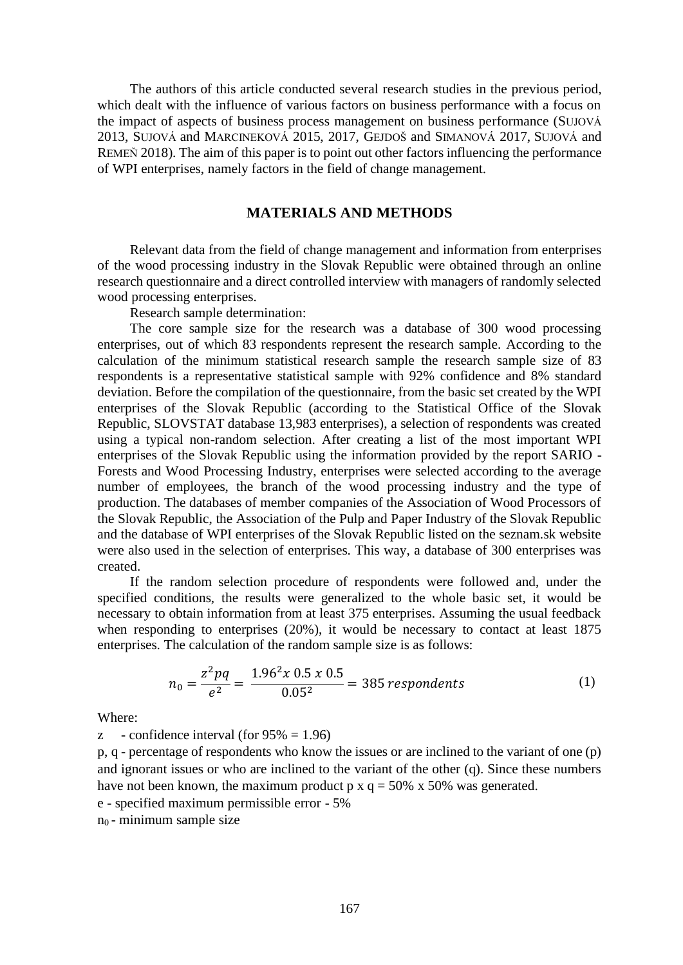The authors of this article conducted several research studies in the previous period, which dealt with the influence of various factors on business performance with a focus on the impact of aspects of business process management on business performance (SUJOVÁ 2013, SUJOVÁ and MARCINEKOVÁ 2015, 2017, GEJDOŠ and SIMANOVÁ 2017, SUJOVÁ and REMEŇ 2018). The aim of this paper is to point out other factors influencing the performance of WPI enterprises, namely factors in the field of change management.

### **MATERIALS AND METHODS**

Relevant data from the field of change management and information from enterprises of the wood processing industry in the Slovak Republic were obtained through an online research questionnaire and a direct controlled interview with managers of randomly selected wood processing enterprises.

Research sample determination:

The core sample size for the research was a database of 300 wood processing enterprises, out of which 83 respondents represent the research sample. According to the calculation of the minimum statistical research sample the research sample size of 83 respondents is a representative statistical sample with 92% confidence and 8% standard deviation. Before the compilation of the questionnaire, from the basic set created by the WPI enterprises of the Slovak Republic (according to the Statistical Office of the Slovak Republic, SLOVSTAT database 13,983 enterprises), a selection of respondents was created using a typical non-random selection. After creating a list of the most important WPI enterprises of the Slovak Republic using the information provided by the report SARIO - Forests and Wood Processing Industry, enterprises were selected according to the average number of employees, the branch of the wood processing industry and the type of production. The databases of member companies of the Association of Wood Processors of the Slovak Republic, the Association of the Pulp and Paper Industry of the Slovak Republic and the database of WPI enterprises of the Slovak Republic listed on the seznam.sk website were also used in the selection of enterprises. This way, a database of 300 enterprises was created.

If the random selection procedure of respondents were followed and, under the specified conditions, the results were generalized to the whole basic set, it would be necessary to obtain information from at least 375 enterprises. Assuming the usual feedback when responding to enterprises (20%), it would be necessary to contact at least 1875 enterprises. The calculation of the random sample size is as follows:

$$
n_0 = \frac{z^2 pq}{e^2} = \frac{1.96^2 x \, 0.5 x \, 0.5}{0.05^2} = 385 \, respondents \tag{1}
$$

Where:

z - confidence interval (for  $95\% = 1.96$ )

p, q - percentage of respondents who know the issues or are inclined to the variant of one (p) and ignorant issues or who are inclined to the variant of the other (q). Since these numbers have not been known, the maximum product p  $x q = 50\%$  x 50% was generated.

e - specified maximum permissible error - 5%

 $n_0$  - minimum sample size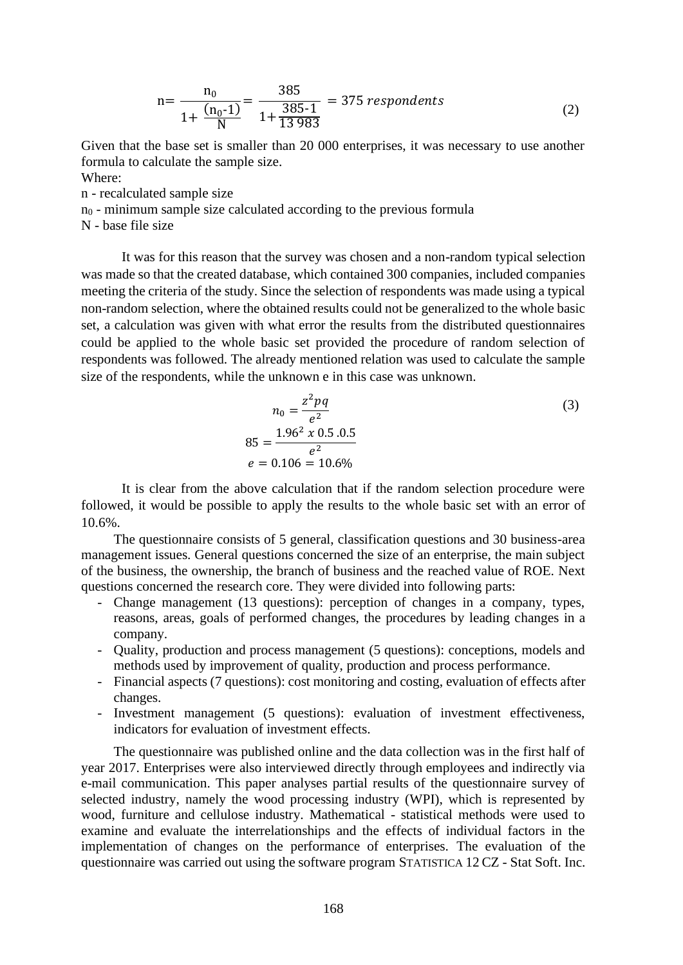$$
n = \frac{n_0}{1 + \frac{(n_0 - 1)}{N}} = \frac{385}{1 + \frac{385 - 1}{13983}} = 375 \text{ respondents}
$$
 (2)

Given that the base set is smaller than 20 000 enterprises, it was necessary to use another formula to calculate the sample size. Where:

n - recalculated sample size

 $n<sub>0</sub>$  - minimum sample size calculated according to the previous formula

N - base file size

It was for this reason that the survey was chosen and a non-random typical selection was made so that the created database, which contained 300 companies, included companies meeting the criteria of the study. Since the selection of respondents was made using a typical non-random selection, where the obtained results could not be generalized to the whole basic set, a calculation was given with what error the results from the distributed questionnaires could be applied to the whole basic set provided the procedure of random selection of respondents was followed. The already mentioned relation was used to calculate the sample size of the respondents, while the unknown e in this case was unknown.

$$
n_0 = \frac{z^2 pq}{e^2}
$$
  
85 = 
$$
\frac{1.96^2 \times 0.5 \cdot 0.5}{e^2}
$$
  

$$
e = 0.106 = 10.6\%
$$
 (3)

It is clear from the above calculation that if the random selection procedure were followed, it would be possible to apply the results to the whole basic set with an error of 10.6%.

The questionnaire consists of 5 general, classification questions and 30 business-area management issues. General questions concerned the size of an enterprise, the main subject of the business, the ownership, the branch of business and the reached value of ROE. Next questions concerned the research core. They were divided into following parts:

- Change management (13 questions): perception of changes in a company, types, reasons, areas, goals of performed changes, the procedures by leading changes in a company.
- Quality, production and process management (5 questions): conceptions, models and methods used by improvement of quality, production and process performance.
- Financial aspects (7 questions): cost monitoring and costing, evaluation of effects after changes.
- Investment management (5 questions): evaluation of investment effectiveness, indicators for evaluation of investment effects.

The questionnaire was published online and the data collection was in the first half of year 2017. Enterprises were also interviewed directly through employees and indirectly via e-mail communication. This paper analyses partial results of the questionnaire survey of selected industry, namely the wood processing industry (WPI), which is represented by wood, furniture and cellulose industry. Mathematical - statistical methods were used to examine and evaluate the interrelationships and the effects of individual factors in the implementation of changes on the performance of enterprises. The evaluation of the questionnaire was carried out using the software program STATISTICA 12 CZ - Stat Soft. Inc.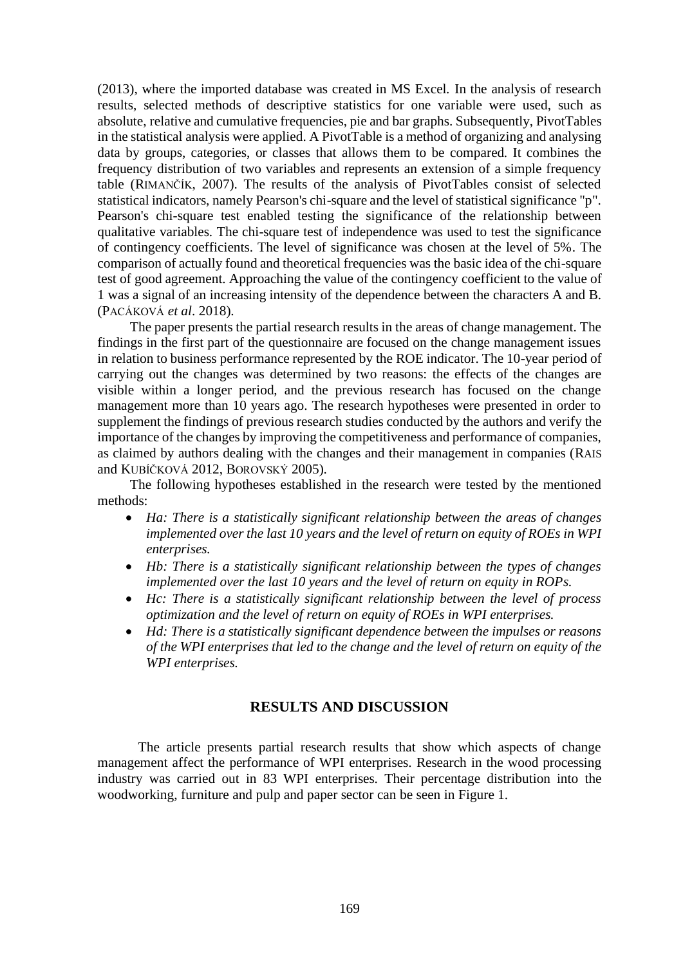(2013), where the imported database was created in MS Excel. In the analysis of research results, selected methods of descriptive statistics for one variable were used, such as absolute, relative and cumulative frequencies, pie and bar graphs. Subsequently, PivotTables in the statistical analysis were applied. A PivotTable is a method of organizing and analysing data by groups, categories, or classes that allows them to be compared. It combines the frequency distribution of two variables and represents an extension of a simple frequency table (RIMANČÍK, 2007). The results of the analysis of PivotTables consist of selected statistical indicators, namely Pearson's chi-square and the level of statistical significance "p". Pearson's chi-square test enabled testing the significance of the relationship between qualitative variables. The chi-square test of independence was used to test the significance of contingency coefficients. The level of significance was chosen at the level of 5%. The comparison of actually found and theoretical frequencies was the basic idea of the chi-square test of good agreement. Approaching the value of the contingency coefficient to the value of 1 was a signal of an increasing intensity of the dependence between the characters A and B. (PACÁKOVÁ *et al*. 2018).

The paper presents the partial research results in the areas of change management. The findings in the first part of the questionnaire are focused on the change management issues in relation to business performance represented by the ROE indicator. The 10-year period of carrying out the changes was determined by two reasons: the effects of the changes are visible within a longer period, and the previous research has focused on the change management more than 10 years ago. The research hypotheses were presented in order to supplement the findings of previous research studies conducted by the authors and verify the importance of the changes by improving the competitiveness and performance of companies, as claimed by authors dealing with the changes and their management in companies (RAIS and KUBÍČKOVÁ 2012, BOROVSKÝ 2005).

The following hypotheses established in the research were tested by the mentioned methods:

- *Ha: There is a statistically significant relationship between the areas of changes implemented over the last 10 years and the level of return on equity of ROEs in WPI enterprises.*
- *Hb: There is a statistically significant relationship between the types of changes implemented over the last 10 years and the level of return on equity in ROPs.*
- *Hc: There is a statistically significant relationship between the level of process optimization and the level of return on equity of ROEs in WPI enterprises.*
- *Hd: There is a statistically significant dependence between the impulses or reasons of the WPI enterprises that led to the change and the level of return on equity of the WPI enterprises.*

### **RESULTS AND DISCUSSION**

The article presents partial research results that show which aspects of change management affect the performance of WPI enterprises. Research in the wood processing industry was carried out in 83 WPI enterprises. Their percentage distribution into the woodworking, furniture and pulp and paper sector can be seen in Figure 1.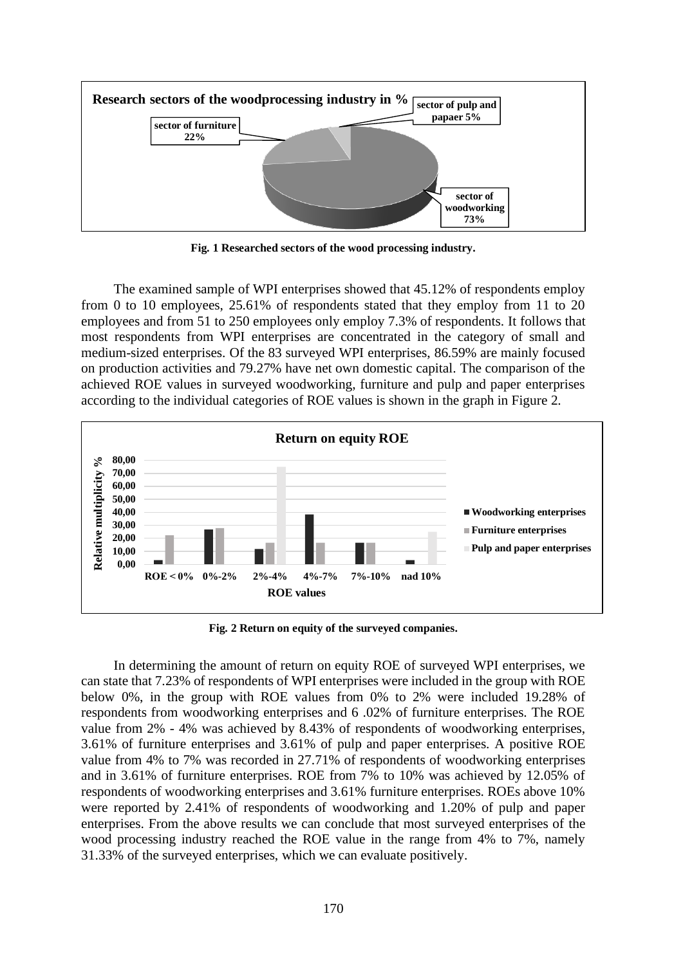

**Fig. 1 Researched sectors of the wood processing industry.** 

The examined sample of WPI enterprises showed that 45.12% of respondents employ from 0 to 10 employees, 25.61% of respondents stated that they employ from 11 to 20 employees and from 51 to 250 employees only employ 7.3% of respondents. It follows that most respondents from WPI enterprises are concentrated in the category of small and medium-sized enterprises. Of the 83 surveyed WPI enterprises, 86.59% are mainly focused on production activities and 79.27% have net own domestic capital. The comparison of the achieved ROE values in surveyed woodworking, furniture and pulp and paper enterprises according to the individual categories of ROE values is shown in the graph in Figure 2.



**Fig. 2 Return on equity of the surveyed companies.** 

In determining the amount of return on equity ROE of surveyed WPI enterprises, we can state that 7.23% of respondents of WPI enterprises were included in the group with ROE below 0%, in the group with ROE values from 0% to 2% were included 19.28% of respondents from woodworking enterprises and 6 .02% of furniture enterprises. The ROE value from 2% - 4% was achieved by 8.43% of respondents of woodworking enterprises, 3.61% of furniture enterprises and 3.61% of pulp and paper enterprises. A positive ROE value from 4% to 7% was recorded in 27.71% of respondents of woodworking enterprises and in 3.61% of furniture enterprises. ROE from 7% to 10% was achieved by 12.05% of respondents of woodworking enterprises and 3.61% furniture enterprises. ROEs above 10% were reported by 2.41% of respondents of woodworking and 1.20% of pulp and paper enterprises. From the above results we can conclude that most surveyed enterprises of the wood processing industry reached the ROE value in the range from 4% to 7%, namely 31.33% of the surveyed enterprises, which we can evaluate positively.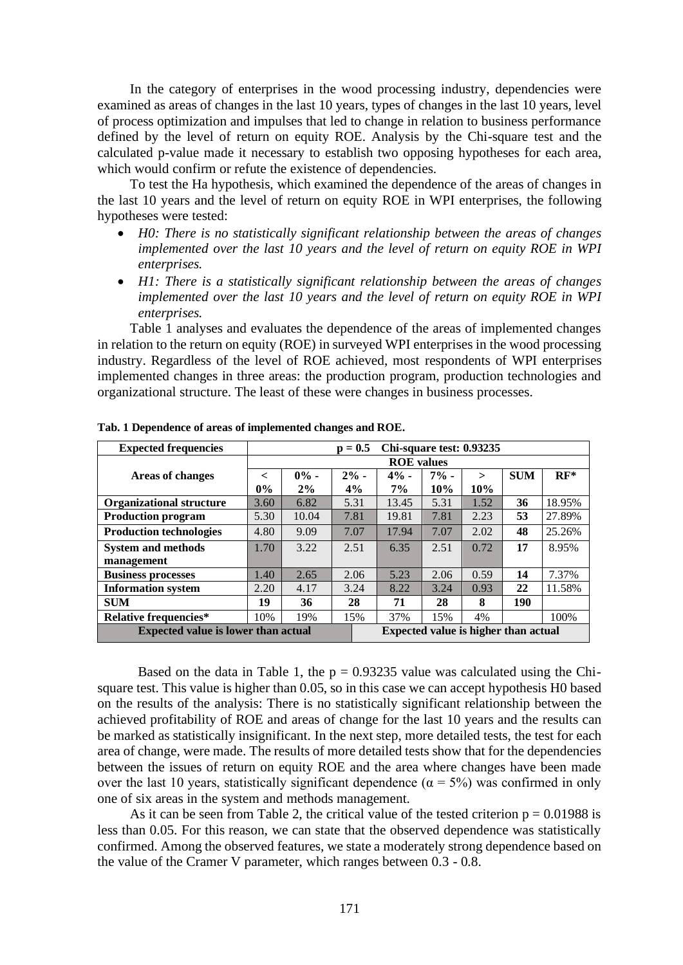In the category of enterprises in the wood processing industry, dependencies were examined as areas of changes in the last 10 years, types of changes in the last 10 years, level of process optimization and impulses that led to change in relation to business performance defined by the level of return on equity ROE. Analysis by the Chi-square test and the calculated p-value made it necessary to establish two opposing hypotheses for each area, which would confirm or refute the existence of dependencies.

To test the Ha hypothesis, which examined the dependence of the areas of changes in the last 10 years and the level of return on equity ROE in WPI enterprises, the following hypotheses were tested:

- *H0: There is no statistically significant relationship between the areas of changes implemented over the last 10 years and the level of return on equity ROE in WPI enterprises.*
- *H1: There is a statistically significant relationship between the areas of changes implemented over the last 10 years and the level of return on equity ROE in WPI enterprises.*

Table 1 analyses and evaluates the dependence of the areas of implemented changes in relation to the return on equity (ROE) in surveyed WPI enterprises in the wood processing industry. Regardless of the level of ROE achieved, most respondents of WPI enterprises implemented changes in three areas: the production program, production technologies and organizational structure. The least of these were changes in business processes.

| <b>Expected frequencies</b>                |                                             |         | $p = 0.5$ | Chi-square test: 0.93235 |         |              |            |        |
|--------------------------------------------|---------------------------------------------|---------|-----------|--------------------------|---------|--------------|------------|--------|
|                                            | <b>ROE</b> values                           |         |           |                          |         |              |            |        |
| <b>Areas of changes</b>                    | $\lt$                                       | $0\%$ - | $2\%$ -   | $4% -$                   | $7\%$ - | $\mathbf{r}$ | <b>SUM</b> | $RF^*$ |
|                                            | $0\%$                                       | 2%      | 4%        | $7\%$                    | 10%     | 10%          |            |        |
| <b>Organizational structure</b>            | 3.60                                        | 6.82    | 5.31      | 13.45                    | 5.31    | 1.52         | 36         | 18.95% |
| <b>Production program</b>                  | 5.30                                        | 10.04   | 7.81      | 19.81                    | 7.81    | 2.23         | 53         | 27.89% |
| <b>Production technologies</b>             | 4.80                                        | 9.09    | 7.07      | 17.94                    | 7.07    | 2.02         | 48         | 25.26% |
| <b>System and methods</b>                  | 1.70                                        | 3.22    | 2.51      | 6.35                     | 2.51    | 0.72         | 17         | 8.95%  |
| management                                 |                                             |         |           |                          |         |              |            |        |
| <b>Business processes</b>                  | 1.40                                        | 2.65    | 2.06      | 5.23                     | 2.06    | 0.59         | 14         | 7.37%  |
| <b>Information system</b>                  | 2.20                                        | 4.17    | 3.24      | 8.22                     | 3.24    | 0.93         | 22         | 11.58% |
| <b>SUM</b>                                 | 19                                          | 36      | 28        | 71                       | 28      | 8            | 190        |        |
| <b>Relative frequencies*</b>               | 10%                                         | 19%     | 15%       | 37%                      | 15%     | 4%           |            | 100\%  |
| <b>Expected value is lower than actual</b> | <b>Expected value is higher than actual</b> |         |           |                          |         |              |            |        |

**Tab. 1 Dependence of areas of implemented changes and ROE.**

Based on the data in Table 1, the  $p = 0.93235$  value was calculated using the Chisquare test. This value is higher than 0.05, so in this case we can accept hypothesis H0 based on the results of the analysis: There is no statistically significant relationship between the achieved profitability of ROE and areas of change for the last 10 years and the results can be marked as statistically insignificant. In the next step, more detailed tests, the test for each area of change, were made. The results of more detailed tests show that for the dependencies between the issues of return on equity ROE and the area where changes have been made over the last 10 years, statistically significant dependence ( $\alpha = 5\%$ ) was confirmed in only one of six areas in the system and methods management.

As it can be seen from Table 2, the critical value of the tested criterion  $p = 0.01988$  is less than 0.05. For this reason, we can state that the observed dependence was statistically confirmed. Among the observed features, we state a moderately strong dependence based on the value of the Cramer V parameter, which ranges between 0.3 - 0.8.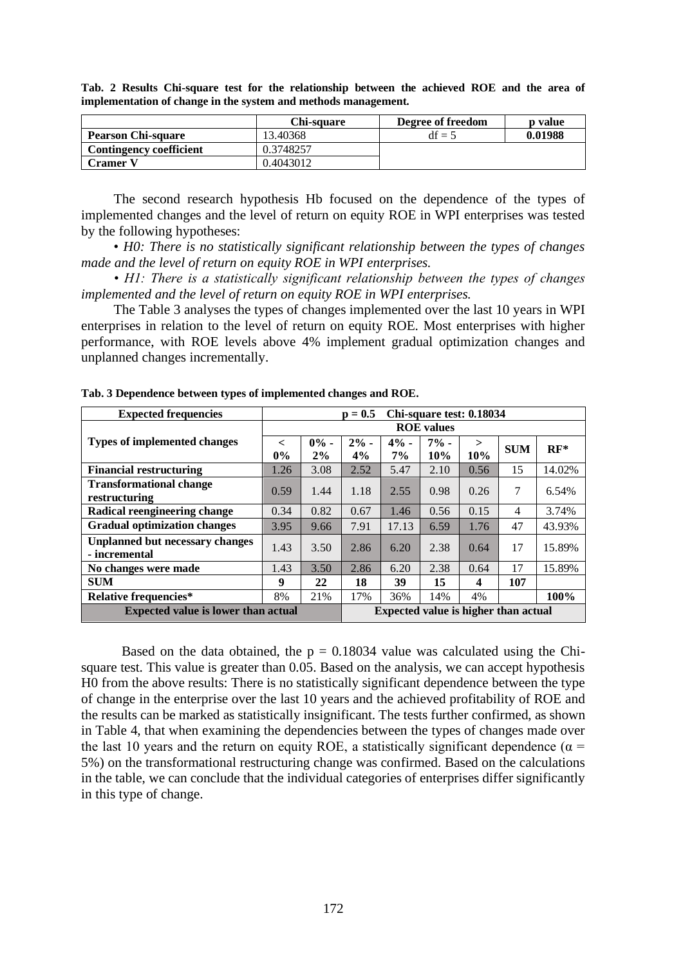|                           | Chi-sauare | Degree of freedom | <b>p</b> value |
|---------------------------|------------|-------------------|----------------|
| <b>Pearson Chi-square</b> | 13.40368   | $df = 5$          | 0.01988        |
| Contingency coefficient   | 0.3748257  |                   |                |
| Cramer V                  | 0.4043012  |                   |                |

**Tab. 2 Results Chi-square test for the relationship between the achieved ROE and the area of implementation of change in the system and methods management.**

The second research hypothesis Hb focused on the dependence of the types of implemented changes and the level of return on equity ROE in WPI enterprises was tested by the following hypotheses:

• *H0: There is no statistically significant relationship between the types of changes made and the level of return on equity ROE in WPI enterprises.*

*• H1: There is a statistically significant relationship between the types of changes implemented and the level of return on equity ROE in WPI enterprises.*

The Table 3 analyses the types of changes implemented over the last 10 years in WPI enterprises in relation to the level of return on equity ROE. Most enterprises with higher performance, with ROE levels above 4% implement gradual optimization changes and unplanned changes incrementally.

| <b>Expected frequencies</b>                |                   | Chi-square test: 0.18034<br>$p = 0.5$ |        |                                             |        |        |            |        |  |
|--------------------------------------------|-------------------|---------------------------------------|--------|---------------------------------------------|--------|--------|------------|--------|--|
|                                            | <b>ROE</b> values |                                       |        |                                             |        |        |            |        |  |
| <b>Types of implemented changes</b>        | $\lt$             | $0\%$ -                               | $2% -$ | $4% -$                                      | $7% -$ | $\geq$ | <b>SUM</b> | $RF^*$ |  |
|                                            | $0\%$             | 2%                                    | 4%     | $7\%$                                       | 10%    | 10%    |            |        |  |
| <b>Financial restructuring</b>             | 1.26              | 3.08                                  | 2.52   | 5.47                                        | 2.10   | 0.56   | 15         | 14.02% |  |
| <b>Transformational change</b>             | 0.59              | 1.44                                  | 1.18   | 2.55                                        | 0.98   | 0.26   | 7          | 6.54%  |  |
| restructuring                              |                   |                                       |        |                                             |        |        |            |        |  |
| Radical reengineering change               | 0.34              | 0.82                                  | 0.67   | 1.46                                        | 0.56   | 0.15   | 4          | 3.74%  |  |
| <b>Gradual optimization changes</b>        | 3.95              | 9.66                                  | 7.91   | 17.13                                       | 6.59   | 1.76   | 47         | 43.93% |  |
| Unplanned but necessary changes            | 1.43              | 3.50                                  | 2.86   | 6.20                                        | 2.38   | 0.64   | 17         | 15.89% |  |
| - incremental                              |                   |                                       |        |                                             |        |        |            |        |  |
| No changes were made                       | 1.43              | 3.50                                  | 2.86   | 6.20                                        | 2.38   | 0.64   | 17         | 15.89% |  |
| <b>SUM</b>                                 | 9                 | 22                                    | 18     | 39                                          | 15     | 4      | 107        |        |  |
| Relative frequencies*                      | 8%                | 21%                                   | 17%    | 36%                                         | 14%    | 4%     |            | 100%   |  |
| <b>Expected value is lower than actual</b> |                   |                                       |        | <b>Expected value is higher than actual</b> |        |        |            |        |  |

**Tab. 3 Dependence between types of implemented changes and ROE.**

Based on the data obtained, the  $p = 0.18034$  value was calculated using the Chisquare test. This value is greater than 0.05. Based on the analysis, we can accept hypothesis H0 from the above results: There is no statistically significant dependence between the type of change in the enterprise over the last 10 years and the achieved profitability of ROE and the results can be marked as statistically insignificant. The tests further confirmed, as shown in Table 4, that when examining the dependencies between the types of changes made over the last 10 years and the return on equity ROE, a statistically significant dependence ( $\alpha$  = 5%) on the transformational restructuring change was confirmed. Based on the calculations in the table, we can conclude that the individual categories of enterprises differ significantly in this type of change.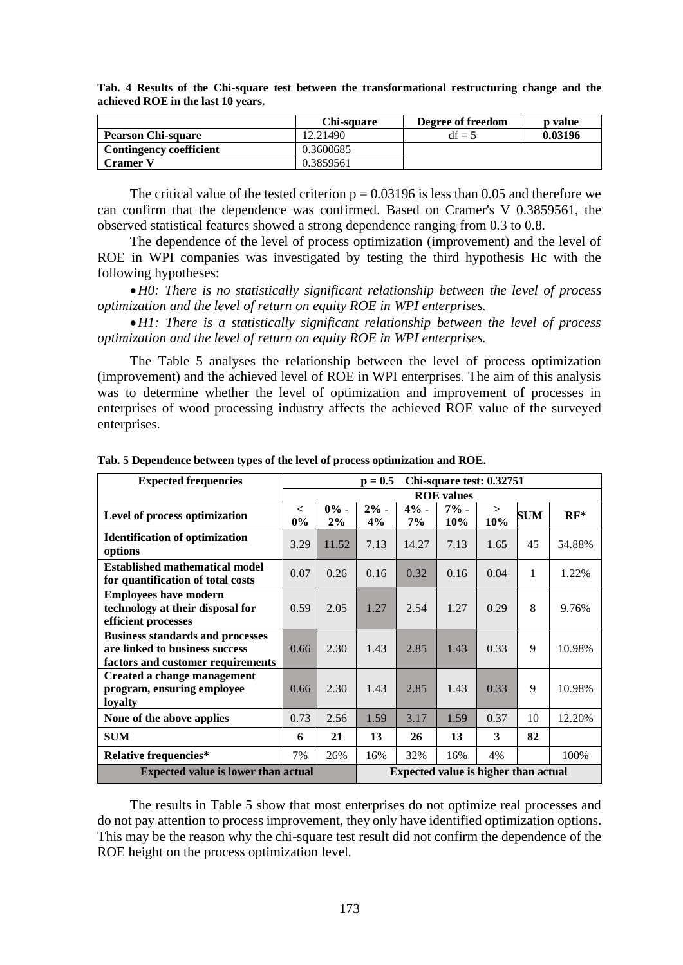|                                | Chi-sauare | Degree of freedom | p value |
|--------------------------------|------------|-------------------|---------|
| <b>Pearson Chi-square</b>      | 12.21490   | $df = 5$          | 0.03196 |
| <b>Contingency coefficient</b> | 0.3600685  |                   |         |
| <b>Cramer</b> i                | 0.3859561  |                   |         |

**Tab. 4 Results of the Chi-square test between the transformational restructuring change and the achieved ROE in the last 10 years.**

The critical value of the tested criterion  $p = 0.03196$  is less than 0.05 and therefore we can confirm that the dependence was confirmed. Based on Cramer's V 0.3859561, the observed statistical features showed a strong dependence ranging from 0.3 to 0.8.

The dependence of the level of process optimization (improvement) and the level of ROE in WPI companies was investigated by testing the third hypothesis Hc with the following hypotheses:

•*H0: There is no statistically significant relationship between the level of process optimization and the level of return on equity ROE in WPI enterprises.*

•*H1: There is a statistically significant relationship between the level of process optimization and the level of return on equity ROE in WPI enterprises.*

The Table 5 analyses the relationship between the level of process optimization (improvement) and the achieved level of ROE in WPI enterprises. The aim of this analysis was to determine whether the level of optimization and improvement of processes in enterprises of wood processing industry affects the achieved ROE value of the surveyed enterprises.

| <b>Expected frequencies</b>                                                                                    | Chi-square test: 0.32751<br>$p = 0.5$ |         |                                      |        |        |        |            |        |
|----------------------------------------------------------------------------------------------------------------|---------------------------------------|---------|--------------------------------------|--------|--------|--------|------------|--------|
|                                                                                                                | <b>ROE</b> values                     |         |                                      |        |        |        |            |        |
| Level of process optimization                                                                                  | $\,<\,$                               | $0\%$ - | $2% -$                               | $4% -$ | $7% -$ | $\geq$ | <b>SUM</b> | $RF^*$ |
|                                                                                                                | $0\%$                                 | 2%      | 4%                                   | 7%     | 10%    | 10%    |            |        |
| <b>Identification of optimization</b><br>options                                                               | 3.29                                  | 11.52   | 7.13                                 | 14.27  | 7.13   | 1.65   | 45         | 54.88% |
| <b>Established mathematical model</b><br>for quantification of total costs                                     | 0.07                                  | 0.26    | 0.16                                 | 0.32   | 0.16   | 0.04   | 1          | 1.22%  |
| <b>Employees have modern</b><br>technology at their disposal for<br>efficient processes                        | 0.59                                  | 2.05    | 1.27                                 | 2.54   | 1.27   | 0.29   | 8          | 9.76%  |
| <b>Business standards and processes</b><br>are linked to business success<br>factors and customer requirements | 0.66                                  | 2.30    | 1.43                                 | 2.85   | 1.43   | 0.33   | 9          | 10.98% |
| Created a change management<br>program, ensuring employee<br>loyalty                                           | 0.66                                  | 2.30    | 1.43                                 | 2.85   | 1.43   | 0.33   | 9          | 10.98% |
| None of the above applies                                                                                      | 0.73                                  | 2.56    | 1.59                                 | 3.17   | 1.59   | 0.37   | 10         | 12.20% |
| <b>SUM</b>                                                                                                     | 6                                     | 21      | 13                                   | 26     | 13     | 3      | 82         |        |
| <b>Relative frequencies*</b>                                                                                   | 7%                                    | 26%     | 16%                                  | 32%    | 16%    | 4%     |            | 100%   |
| <b>Expected value is lower than actual</b>                                                                     |                                       |         | Expected value is higher than actual |        |        |        |            |        |

**Tab. 5 Dependence between types of the level of process optimization and ROE.**

The results in Table 5 show that most enterprises do not optimize real processes and do not pay attention to process improvement, they only have identified optimization options. This may be the reason why the chi-square test result did not confirm the dependence of the ROE height on the process optimization level.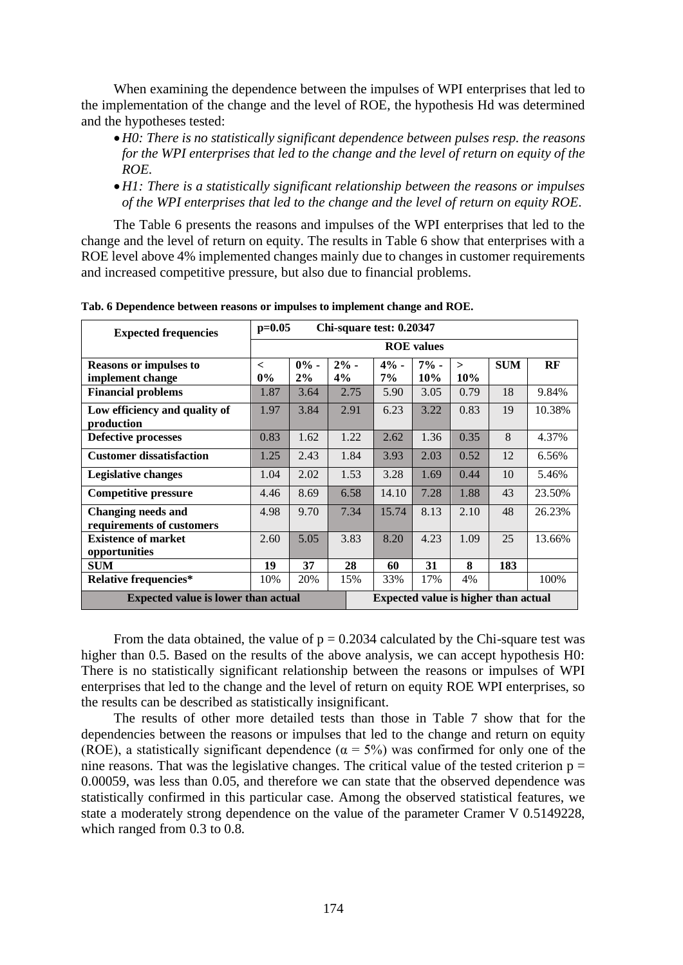When examining the dependence between the impulses of WPI enterprises that led to the implementation of the change and the level of ROE, the hypothesis Hd was determined and the hypotheses tested:

- •*H0: There is no statistically significant dependence between pulses resp. the reasons for the WPI enterprises that led to the change and the level of return on equity of the ROE.*
- •*H1: There is a statistically significant relationship between the reasons or impulses of the WPI enterprises that led to the change and the level of return on equity ROE.*

The Table 6 presents the reasons and impulses of the WPI enterprises that led to the change and the level of return on equity. The results in Table 6 show that enterprises with a ROE level above 4% implemented changes mainly due to changes in customer requirements and increased competitive pressure, but also due to financial problems.

| <b>Expected frequencies</b>                       |                   | $p=0.05$<br>Chi-square test: 0.20347 |               |                                      |               |               |            |        |
|---------------------------------------------------|-------------------|--------------------------------------|---------------|--------------------------------------|---------------|---------------|------------|--------|
|                                                   | <b>ROE</b> values |                                      |               |                                      |               |               |            |        |
| <b>Reasons or impulses to</b><br>implement change | $\,<\,$<br>$0\%$  | $0\%$ -<br>2%                        | $2\%$ -<br>4% | $4% -$<br>$7\%$                      | $7% -$<br>10% | $\geq$<br>10% | <b>SUM</b> | RF     |
| <b>Financial problems</b>                         | 1.87              | 3.64                                 | 2.75          | 5.90                                 | 3.05          | 0.79          | 18         | 9.84%  |
| Low efficiency and quality of<br>production       | 1.97              | 3.84                                 | 2.91          | 6.23                                 | 3.22          | 0.83          | 19         | 10.38% |
| <b>Defective processes</b>                        | 0.83              | 1.62                                 | 1.22          | 2.62                                 | 1.36          | 0.35          | 8          | 4.37%  |
| <b>Customer dissatisfaction</b>                   | 1.25              | 2.43                                 | 1.84          | 3.93                                 | 2.03          | 0.52          | 12         | 6.56%  |
| Legislative changes                               | 1.04              | 2.02                                 | 1.53          | 3.28                                 | 1.69          | 0.44          | 10         | 5.46%  |
| <b>Competitive pressure</b>                       | 4.46              | 8.69                                 | 6.58          | 14.10                                | 7.28          | 1.88          | 43         | 23.50% |
| Changing needs and<br>requirements of customers   | 4.98              | 9.70                                 | 7.34          | 15.74                                | 8.13          | 2.10          | 48         | 26.23% |
| <b>Existence of market</b><br>opportunities       | 2.60              | 5.05                                 | 3.83          | 8.20                                 | 4.23          | 1.09          | 25         | 13.66% |
| <b>SUM</b>                                        | 19                | 37                                   | 28            | 60                                   | 31            | 8             | 183        |        |
| <b>Relative frequencies*</b>                      | 10%               | 20%                                  | 15%           | 33%                                  | 17%           | 4%            |            | 100%   |
| <b>Expected value is lower than actual</b>        |                   |                                      |               | Expected value is higher than actual |               |               |            |        |

**Tab. 6 Dependence between reasons or impulses to implement change and ROE.**

From the data obtained, the value of  $p = 0.2034$  calculated by the Chi-square test was higher than 0.5. Based on the results of the above analysis, we can accept hypothesis H0: There is no statistically significant relationship between the reasons or impulses of WPI enterprises that led to the change and the level of return on equity ROE WPI enterprises, so the results can be described as statistically insignificant.

The results of other more detailed tests than those in Table 7 show that for the dependencies between the reasons or impulses that led to the change and return on equity (ROE), a statistically significant dependence ( $\alpha = 5\%$ ) was confirmed for only one of the nine reasons. That was the legislative changes. The critical value of the tested criterion  $p =$ 0.00059, was less than 0.05, and therefore we can state that the observed dependence was statistically confirmed in this particular case. Among the observed statistical features, we state a moderately strong dependence on the value of the parameter Cramer V 0.5149228, which ranged from 0.3 to 0.8.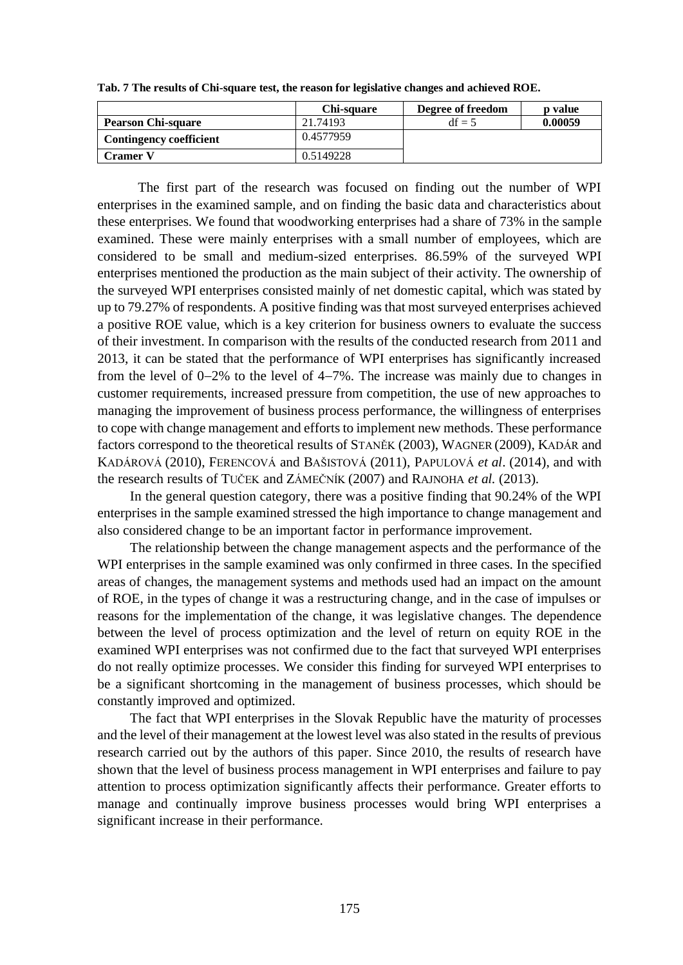|                                | <b>Chi-square</b> | Degree of freedom | <b>p</b> value |
|--------------------------------|-------------------|-------------------|----------------|
| <b>Pearson Chi-square</b>      | 21.74193          | $df = 5$          | 0.00059        |
| <b>Contingency coefficient</b> | 0.4577959         |                   |                |
| <b>Cramer V</b>                | 0.5149228         |                   |                |

**Tab. 7 The results of Chi-square test, the reason for legislative changes and achieved ROE.**

The first part of the research was focused on finding out the number of WPI enterprises in the examined sample, and on finding the basic data and characteristics about these enterprises. We found that woodworking enterprises had a share of 73% in the sample examined. These were mainly enterprises with a small number of employees, which are considered to be small and medium-sized enterprises. 86.59% of the surveyed WPI enterprises mentioned the production as the main subject of their activity. The ownership of the surveyed WPI enterprises consisted mainly of net domestic capital, which was stated by up to 79.27% of respondents. A positive finding was that most surveyed enterprises achieved a positive ROE value, which is a key criterion for business owners to evaluate the success of their investment. In comparison with the results of the conducted research from 2011 and 2013, it can be stated that the performance of WPI enterprises has significantly increased from the level of 0−2% to the level of 4−7%. The increase was mainly due to changes in customer requirements, increased pressure from competition, the use of new approaches to managing the improvement of business process performance, the willingness of enterprises to cope with change management and efforts to implement new methods. These performance factors correspond to the theoretical results of STANĚK (2003), WAGNER (2009), KADÁR and KADÁROVÁ (2010), FERENCOVÁ and BAŠISTOVÁ (2011), PAPULOVÁ *et al*. (2014), and with the research results of TUČEK and ZÁMEČNÍK (2007) and RAJNOHA *et al.* (2013).

In the general question category, there was a positive finding that 90.24% of the WPI enterprises in the sample examined stressed the high importance to change management and also considered change to be an important factor in performance improvement.

The relationship between the change management aspects and the performance of the WPI enterprises in the sample examined was only confirmed in three cases. In the specified areas of changes, the management systems and methods used had an impact on the amount of ROE, in the types of change it was a restructuring change, and in the case of impulses or reasons for the implementation of the change, it was legislative changes. The dependence between the level of process optimization and the level of return on equity ROE in the examined WPI enterprises was not confirmed due to the fact that surveyed WPI enterprises do not really optimize processes. We consider this finding for surveyed WPI enterprises to be a significant shortcoming in the management of business processes, which should be constantly improved and optimized.

The fact that WPI enterprises in the Slovak Republic have the maturity of processes and the level of their management at the lowest level was also stated in the results of previous research carried out by the authors of this paper. Since 2010, the results of research have shown that the level of business process management in WPI enterprises and failure to pay attention to process optimization significantly affects their performance. Greater efforts to manage and continually improve business processes would bring WPI enterprises a significant increase in their performance.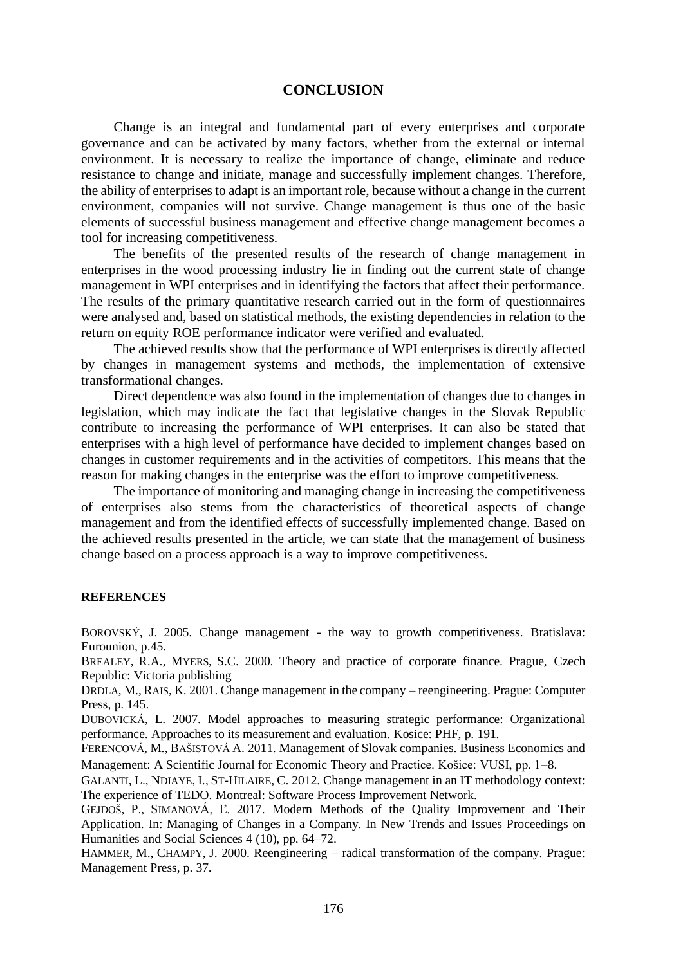#### **CONCLUSION**

Change is an integral and fundamental part of every enterprises and corporate governance and can be activated by many factors, whether from the external or internal environment. It is necessary to realize the importance of change, eliminate and reduce resistance to change and initiate, manage and successfully implement changes. Therefore, the ability of enterprises to adapt is an important role, because without a change in the current environment, companies will not survive. Change management is thus one of the basic elements of successful business management and effective change management becomes a tool for increasing competitiveness.

The benefits of the presented results of the research of change management in enterprises in the wood processing industry lie in finding out the current state of change management in WPI enterprises and in identifying the factors that affect their performance. The results of the primary quantitative research carried out in the form of questionnaires were analysed and, based on statistical methods, the existing dependencies in relation to the return on equity ROE performance indicator were verified and evaluated.

The achieved results show that the performance of WPI enterprises is directly affected by changes in management systems and methods, the implementation of extensive transformational changes.

Direct dependence was also found in the implementation of changes due to changes in legislation, which may indicate the fact that legislative changes in the Slovak Republic contribute to increasing the performance of WPI enterprises. It can also be stated that enterprises with a high level of performance have decided to implement changes based on changes in customer requirements and in the activities of competitors. This means that the reason for making changes in the enterprise was the effort to improve competitiveness.

The importance of monitoring and managing change in increasing the competitiveness of enterprises also stems from the characteristics of theoretical aspects of change management and from the identified effects of successfully implemented change. Based on the achieved results presented in the article, we can state that the management of business change based on a process approach is a way to improve competitiveness.

#### **REFERENCES**

BOROVSKÝ, J. 2005. Change management - the way to growth competitiveness. Bratislava: Eurounion, p.45.

BREALEY, R.A., MYERS, S.C. 2000. Theory and practice of corporate finance. Prague, Czech Republic: Victoria publishing

DRDLA, M.,RAIS, K. 2001. Change management in the company – reengineering. Prague: Computer Press, p. 145.

DUBOVICKÁ, L. 2007. Model approaches to measuring strategic performance: Organizational performance. Approaches to its measurement and evaluation. Kosice: PHF, p. 191.

FERENCOVÁ, M., BAŠISTOVÁ A. 2011. Management of Slovak companies. Business Economics and Management: A Scientific Journal for Economic Theory and Practice. Košice: VUSI, pp. 1−8.

GALANTI, L., NDIAYE, I., ST-HILAIRE, C. 2012. Change management in an IT methodology context: The experience of TEDO. Montreal: Software Process Improvement Network.

GEJDOŠ, P., SIMANOVÁ, Ľ. 2017. Modern Methods of the Quality Improvement and Their Application. In: Managing of Changes in a Company. In New Trends and Issues Proceedings on Humanities and Social Sciences 4 (10), pp. 64–72.

HAMMER, M., CHAMPY, J. 2000. Reengineering – radical transformation of the company. Prague: Management Press, p. 37.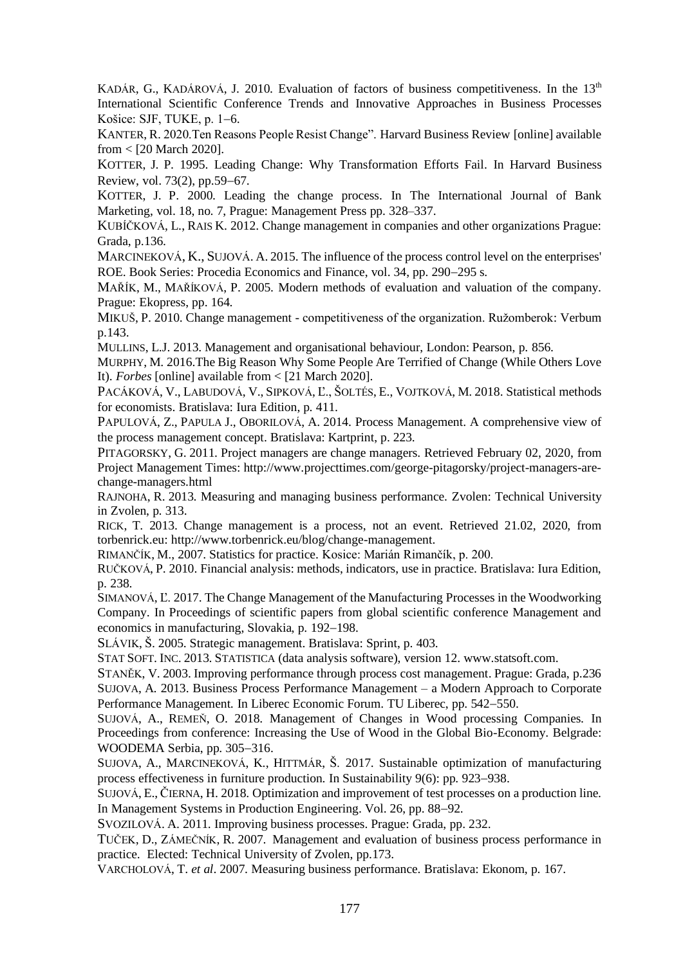KADÁR, G., KADÁROVÁ, J. 2010. Evaluation of factors of business competitiveness. In the  $13<sup>th</sup>$ International Scientific Conference Trends and Innovative Approaches in Business Processes Košice: SJF, TUKE, p. 1−6.

KANTER, R. 2020.Ten Reasons People Resist Change". Harvard Business Review [online] available from < [20 March 2020].

KOTTER, J. P. 1995. Leading Change: Why Transformation Efforts Fail. In Harvard Business Review, vol. 73(2), pp.59−67.

KOTTER, J. P. 2000. Leading the change process. In The International Journal of Bank Marketing, vol. 18, no. 7, Prague: Management Press pp. 328–337.

KUBÍČKOVÁ, L., RAIS K. 2012. Change management in companies and other organizations Prague: Grada, p.136.

MARCINEKOVÁ, K., SUJOVÁ. A. 2015. The influence of the process control level on the enterprises' ROE. Book Series: Procedia Economics and Finance, vol. 34, pp. 290−295 s.

MAŘÍK, M., MAŘÍKOVÁ, P. 2005. Modern methods of evaluation and valuation of the company. Prague: Ekopress, pp. 164.

MIKUŠ, P. 2010. Change management - competitiveness of the organization. Ružomberok: Verbum p.143.

MULLINS, L.J. 2013. Management and organisational behaviour, London: Pearson, p. 856.

MURPHY, M. 2016.The Big Reason Why Some People Are Terrified of Change (While Others Love It). *Forbes* [online] available from < [21 March 2020].

PACÁKOVÁ, V., LABUDOVÁ, V., SIPKOVÁ, Ľ., ŠOLTÉS, E., VOJTKOVÁ, M. 2018. Statistical methods for economists. Bratislava: Iura Edition, p. 411.

PAPULOVÁ, Z., PAPULA J., OBORILOVÁ, A. 2014. Process Management. A comprehensive view of the process management concept. Bratislava: Kartprint, p. 223.

PITAGORSKY, G. 2011. Project managers are change managers. Retrieved February 02, 2020, from Project Management Times: [http://www.projecttimes.com/george-pitagorsky/project-managers-are](http://www.projecttimes.com/george-pitagorsky/project-managers-are-change-managers.html)[change-managers.html](http://www.projecttimes.com/george-pitagorsky/project-managers-are-change-managers.html)

RAJNOHA, R. 2013. Measuring and managing business performance. Zvolen: Technical University in Zvolen, p. 313.

RICK, T. 2013. Change management is a process, not an event. Retrieved 21.02, 2020, from torbenrick.eu: http://www.torbenrick.eu/blog/change-management.

RIMANČÍK, M., 2007. Statistics for practice. Kosice: Marián Rimančík, p. 200.

RUČKOVÁ, P. 2010. Financial analysis: methods, indicators, use in practice. Bratislava: Iura Edition, p. 238.

SIMANOVÁ, Ľ. 2017. The Change Management of the Manufacturing Processes in the Woodworking Company. In Proceedings of scientific papers from global scientific conference Management and economics in manufacturing, Slovakia, p. 192−198.

SLÁVIK, Š. 2005. Strategic management. Bratislava: Sprint, p. 403.

STAT SOFT. INC. 2013. STATISTICA (data analysis software), version 12. www.statsoft.com.

STANĚK, V. 2003. Improving performance through process cost management. Prague: Grada, p.236 SUJOVA, A. 2013. Business Process Performance Management – a Modern Approach to Corporate Performance Management*.* In Liberec Economic Forum. TU Liberec, pp. 542−550.

SUJOVÁ, A., REMEŇ, O. 2018. Management of Changes in Wood processing Companies. In Proceedings from conference: Increasing the Use of Wood in the Global Bio-Economy. Belgrade: WOODEMA Serbia, pp. 305−316.

SUJOVA, A., MARCINEKOVÁ, K., HITTMÁR, Š. 2017. Sustainable optimization of manufacturing process effectiveness in furniture production. In Sustainability 9(6): pp. 923−938.

SUJOVÁ, E., ČIERNA, H. 2018. Optimization and improvement of test processes on a production line. In Management Systems in Production Engineering. Vol. 26, pp. 88−92.

SVOZILOVÁ. A. 2011. Improving business processes. Prague: Grada, pp. 232.

TUČEK, D., ZÁMEČNÍK, R. 2007. Management and evaluation of business process performance in practice. Elected: Technical University of Zvolen, pp.173.

VARCHOLOVÁ, T. *et al*. 2007. Measuring business performance. Bratislava: Ekonom, p. 167.